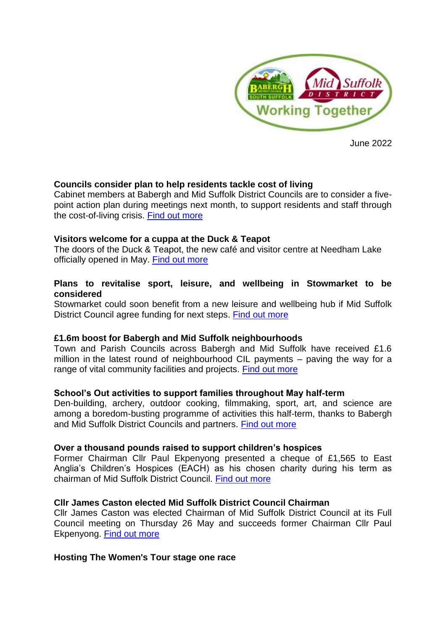

June 2022

# **Councils consider plan to help residents tackle cost of living**

Cabinet members at Babergh and Mid Suffolk District Councils are to consider a fivepoint action plan during meetings next month, to support residents and staff through the cost-of-living crisis. [Find out more](about:blank)

## **[Visitors welcome for a cuppa at the Duck & Teapot](about:blank)**

The doors of the Duck & Teapot, the new café and visitor centre at Needham Lake officially opened in May. [Find out more](about:blank)

## **[Plans to revitalise sport, leisure, and wellbeing in Stowmarket to be](about:blank)  [considered](about:blank)**

Stowmarket could soon benefit from a new leisure and wellbeing hub if Mid Suffolk District Council agree funding for next steps. Find [out more](about:blank)

## **[£1.6m boost for Babergh and Mid Suffolk neighbourhoods](about:blank)**

Town and Parish Councils across Babergh and Mid Suffolk have received £1.6 million in the latest round of neighbourhood CIL payments – paving the way for a range of vital community facilities and projects. [Find out more](about:blank)

## **[School's Out activities to support families throughout May half-term](about:blank)**

Den-building, archery, outdoor cooking, filmmaking, sport, art, and science are among a boredom-busting programme of activities this half-term, thanks to Babergh and Mid Suffolk District Councils and partners. [Find out more](about:blank)

#### **[Over a thousand pounds raised to support children's hospices](about:blank)**

Former Chairman Cllr Paul Ekpenyong presented a cheque of £1,565 to East Anglia's Children's Hospices (EACH) as his chosen charity during his term as chairman of Mid Suffolk District Council. [Find out more](about:blank)

#### **[Cllr James Caston elected Mid Suffolk District Council Chairman](about:blank)**

Cllr James Caston was elected Chairman of Mid Suffolk District Council at its Full Council meeting on Thursday 26 May and succeeds former Chairman Cllr Paul Ekpenyong. [Find out more](about:blank)

#### **[Hosting The Women's Tour stage one race](about:blank)**